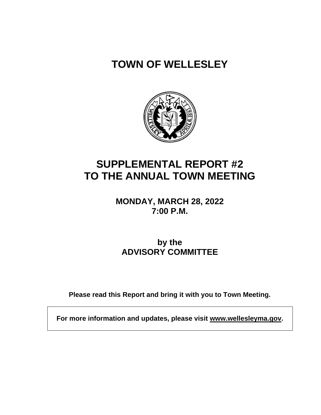# **TOWN OF WELLESLEY**



# **SUPPLEMENTAL REPORT #2 TO THE ANNUAL TOWN MEETING**

**MONDAY, MARCH 28, 2022 7:00 P.M.**

**by the ADVISORY COMMITTEE**

**Please read this Report and bring it with you to Town Meeting.**

**For more information and updates, please visit www.wellesleyma.gov.**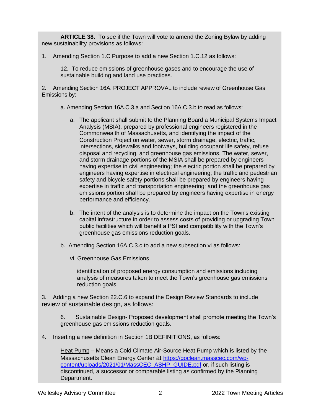**ARTICLE 38.** To see if the Town will vote to amend the Zoning Bylaw by adding new sustainability provisions as follows:

1. Amending Section 1.C Purpose to add a new Section 1.C.12 as follows:

12. To reduce emissions of greenhouse gases and to encourage the use of sustainable building and land use practices.

2. Amending Section 16A. PROJECT APPROVAL to include review of Greenhouse Gas Emissions by:

a. Amending Section 16A.C.3.a and Section 16A.C.3.b to read as follows:

- a. The applicant shall submit to the Planning Board a Municipal Systems Impact Analysis (MSIA), prepared by professional engineers registered in the Commonwealth of Massachusetts, and identifying the impact of the Construction Project on water, sewer, storm drainage, electric, traffic, intersections, sidewalks and footways, building occupant life safety, refuse disposal and recycling, and greenhouse gas emissions. The water, sewer, and storm drainage portions of the MSIA shall be prepared by engineers having expertise in civil engineering; the electric portion shall be prepared by engineers having expertise in electrical engineering; the traffic and pedestrian safety and bicycle safety portions shall be prepared by engineers having expertise in traffic and transportation engineering; and the greenhouse gas emissions portion shall be prepared by engineers having expertise in energy performance and efficiency.
- b. The intent of the analysis is to determine the impact on the Town's existing capital infrastructure in order to assess costs of providing or upgrading Town public facilities which will benefit a PSI and compatibility with the Town's greenhouse gas emissions reduction goals.
- b. Amending Section 16A.C.3.c to add a new subsection vi as follows:
	- vi. Greenhouse Gas Emissions

identification of proposed energy consumption and emissions including analysis of measures taken to meet the Town's greenhouse gas emissions reduction goals.

3. Adding a new Section 22.C.6 to expand the Design Review Standards to include review of sustainable design, as follows:

6. Sustainable Design- Proposed development shall promote meeting the Town's greenhouse gas emissions reduction goals.

4. Inserting a new definition in Section 1B DEFINITIONS, as follows:

Heat Pump – Means a Cold Climate Air-Source Heat Pump which is listed by the Massachusetts Clean Energy Center at [https://goclean.masscec.com/wp](https://goclean.masscec.com/wp-content/uploads/2021/01/MassCEC_ASHP_GUIDE.pdf)[content/uploads/2021/01/MassCEC\\_ASHP\\_GUIDE.pdf](https://goclean.masscec.com/wp-content/uploads/2021/01/MassCEC_ASHP_GUIDE.pdf) or, if such listing is discontinued, a successor or comparable listing as confirmed by the Planning Department.